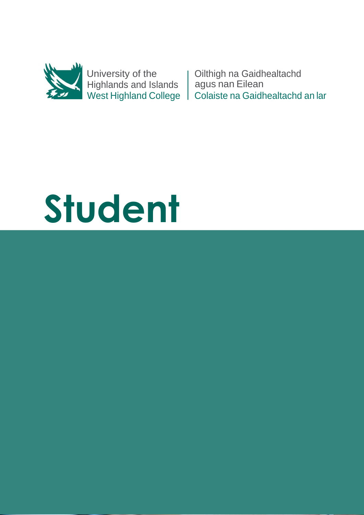

University of the Highlands and Islands West Highland College

Oilthigh na Gaidhealtachd agus nan Eilean Colaiste na Gaidhealtachd an lar

# **Student**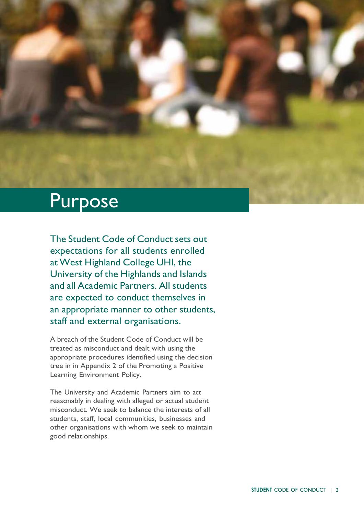#### Purpose

The Student Code of Conduct sets out expectations for all students enrolled at West Highland College UHI, the University of the Highlands and Islands and all Academic Partners. All students are expected to conduct themselves in an appropriate manner to other students, staff and external organisations.

A breach of the Student Code of Conduct will be treated as misconduct and dealt with using the appropriate procedures identified using the decision tree in in Appendix 2 of the Promoting a Positive Learning Environment Policy.

The University and Academic Partners aim to act reasonably in dealing with alleged or actual student misconduct. We seek to balance the interests of all students, staff, local communities, businesses and other organisations with whom we seek to maintain good relationships.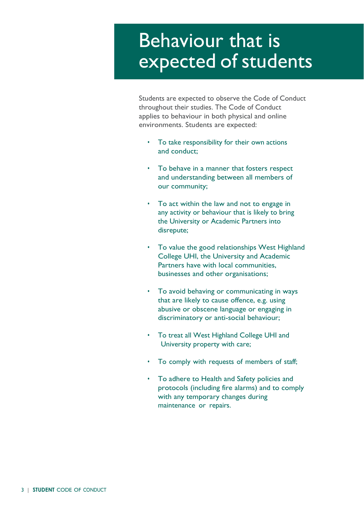## Behaviour that is expected of students

Students are expected to observe the Code of Conduct throughout their studies. The Code of Conduct applies to behaviour in both physical and online environments. Students are expected:

- To take responsibility for their own actions and conduct;
- To behave in a manner that fosters respect and understanding between all members of our community;
- To act within the law and not to engage in any activity or behaviour that is likely to bring the University or Academic Partners into disrepute;
- To value the good relationships West Highland College UHI, the University and Academic Partners have with local communities, businesses and other organisations;
- To avoid behaving or communicating in ways that are likely to cause offence, e.g. using abusive or obscene language or engaging in discriminatory or anti-social behaviour;
- To treat all West Highland College UHI and University property with care;
- To comply with requests of members of staff;
- To adhere to Health and Safety policies and protocols (including fire alarms) and to comply with any temporary changes during maintenance or repairs.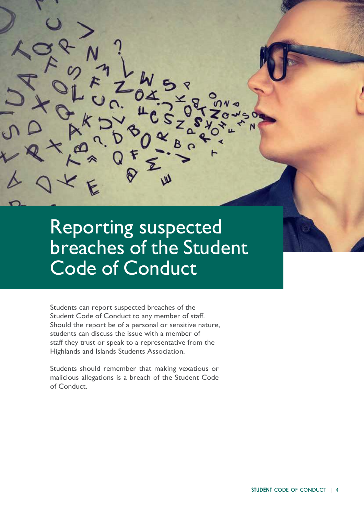#### Reporting suspected breaches of the Student Code of Conduct

Students can report suspected breaches of the Student Code of Conduct to any member of staff. Should the report be of a personal or sensitive nature, students can discuss the issue with a member of staff they trust or speak to a representative from the Highlands and Islands Students Association.

Students should remember that making vexatious or malicious allegations is a breach of the Student Code of Conduct.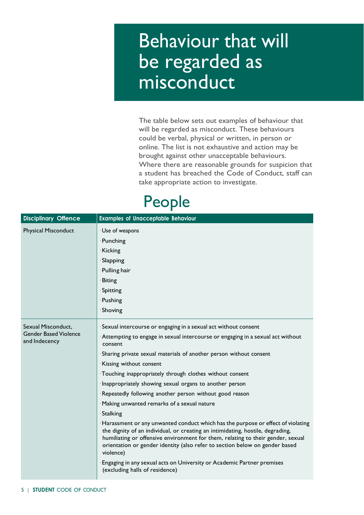#### Behaviour that will be regarded as misconduct

The table below sets out examples of behaviour that will be regarded as misconduct. These behaviours could be verbal, physical or written, in person or online. The list is not exhaustive and action may be brought against other unacceptable behaviours. Where there are reasonable grounds for suspicion that a student has breached the Code of Conduct, staff can take appropriate action to investigate.

#### People

| <b>Disciplinary Offence</b>                   | <b>Examples of Unacceptable Behaviour</b>                                                                                                                                                                                                                                                                                                        |
|-----------------------------------------------|--------------------------------------------------------------------------------------------------------------------------------------------------------------------------------------------------------------------------------------------------------------------------------------------------------------------------------------------------|
| <b>Physical Misconduct</b>                    | · Use of weapons                                                                                                                                                                                                                                                                                                                                 |
|                                               | · Punching                                                                                                                                                                                                                                                                                                                                       |
|                                               | · Kicking                                                                                                                                                                                                                                                                                                                                        |
|                                               | · Slapping                                                                                                                                                                                                                                                                                                                                       |
|                                               | · Pulling hair                                                                                                                                                                                                                                                                                                                                   |
|                                               | · Biting                                                                                                                                                                                                                                                                                                                                         |
|                                               | Spitting                                                                                                                                                                                                                                                                                                                                         |
|                                               | · Pushing                                                                                                                                                                                                                                                                                                                                        |
|                                               | · Shoving                                                                                                                                                                                                                                                                                                                                        |
| Sexual Misconduct,                            | Sexual intercourse or engaging in a sexual act without consent                                                                                                                                                                                                                                                                                   |
| <b>Gender Based Violence</b><br>and Indecency | Attempting to engage in sexual intercourse or engaging in a sexual act without<br>consent                                                                                                                                                                                                                                                        |
|                                               | Sharing private sexual materials of another person without consent                                                                                                                                                                                                                                                                               |
|                                               | Kissing without consent                                                                                                                                                                                                                                                                                                                          |
|                                               | Touching inappropriately through clothes without consent                                                                                                                                                                                                                                                                                         |
|                                               | Inappropriately showing sexual organs to another person                                                                                                                                                                                                                                                                                          |
|                                               | Repeatedly following another person without good reason                                                                                                                                                                                                                                                                                          |
|                                               | · Making unwanted remarks of a sexual nature                                                                                                                                                                                                                                                                                                     |
|                                               | Stalking                                                                                                                                                                                                                                                                                                                                         |
|                                               | Harassment or any unwanted conduct which has the purpose or effect of violating<br>the dignity of an individual, or creating an intimidating, hostile, degrading,<br>humiliating or offensive environment for them, relating to their gender, sexual<br>orientation or gender identity (also refer to section below on gender based<br>violence) |
|                                               | Engaging in any sexual acts on University or Academic Partner premises<br>(excluding halls of residence)                                                                                                                                                                                                                                         |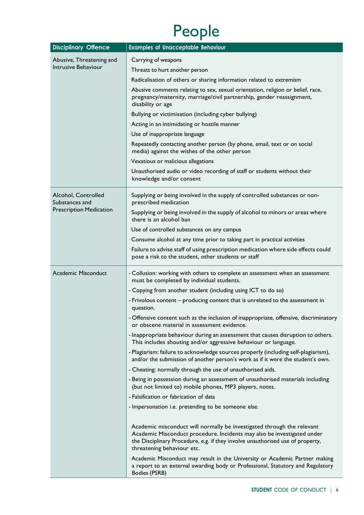# People

| <b>Disciplinary Offence</b>                                             | <b>Examples of Unacceptable Behaviour</b>                                                                                                                                                                                                                         |
|-------------------------------------------------------------------------|-------------------------------------------------------------------------------------------------------------------------------------------------------------------------------------------------------------------------------------------------------------------|
| Abusive, Threatening and<br>Intrusive Behaviour                         | Carrying of weapons                                                                                                                                                                                                                                               |
|                                                                         | Threats to hurt another person                                                                                                                                                                                                                                    |
|                                                                         | Radicalisation of others or sharing information related to extremism                                                                                                                                                                                              |
|                                                                         | Abusive comments relating to sex, sexual orientation, religion or belief, race,<br>pregnancy/maternity, marriage/civil partnership, gender reassignment,<br>disability or age                                                                                     |
|                                                                         | Bullying or victimisation (including cyber bullying)                                                                                                                                                                                                              |
|                                                                         | Acting in an intimidating or hostile manner                                                                                                                                                                                                                       |
|                                                                         | · Use of inappropriate language                                                                                                                                                                                                                                   |
|                                                                         | Repeatedly contacting another person (by phone, email, text or on social<br>media) against the wishes of the other person                                                                                                                                         |
|                                                                         | Vexatious or malicious allegations                                                                                                                                                                                                                                |
|                                                                         | · Unauthorised audio or video recording of staff or students without their<br>knowledge and/or consent                                                                                                                                                            |
| Alcohol, Controlled<br>Substances and<br><b>Prescription Medication</b> | Supplying or being involved in the supply of controlled substances or non-<br>prescribed medication                                                                                                                                                               |
|                                                                         | Supplying or being involved in the supply of alcohol to minors or areas where<br>there is an alcohol ban                                                                                                                                                          |
|                                                                         | · Use of controlled substances on any campus                                                                                                                                                                                                                      |
|                                                                         | Consume alcohol at any time prior to taking part in practical activities                                                                                                                                                                                          |
|                                                                         | · Failure to advise staff of using prescription medication where side effects could<br>pose a risk to the student, other students or staff                                                                                                                        |
| Academic Misconduct                                                     | - Collusion: working with others to complete an assessment when an assessment<br>must be completed by individual students.                                                                                                                                        |
|                                                                         | - Copying from another student (including using ICT to do so)                                                                                                                                                                                                     |
|                                                                         | - Frivolous content – producing content that is unrelated to the assessment in<br>question.                                                                                                                                                                       |
|                                                                         | - Offensive content such as the inclusion of inappropriate, offensive, discriminatory<br>or obscene material in assessment evidence.                                                                                                                              |
|                                                                         | - Inappropriate behaviour during an assessment that causes disruption to others.<br>This includes shouting and/or aggressive behaviour or language.                                                                                                               |
|                                                                         | - Plagiarism: failure to acknowledge sources properly (including self-plagiarism),<br>and/or the submission of another person's work as if it were the student's own.                                                                                             |
|                                                                         | - Cheating: normally through the use of unauthorised aids.                                                                                                                                                                                                        |
|                                                                         | - Being in possession during an assessment of unauthorised materials including<br>(but not limited to) mobile phones, MP3 players, notes.                                                                                                                         |
|                                                                         | - Falsification or fabrication of data                                                                                                                                                                                                                            |
|                                                                         | - Impersonation i.e. pretending to be someone else.                                                                                                                                                                                                               |
|                                                                         | Academic misconduct will normally be investigated through the relevant<br>Academic Misconduct procedure. Incidents may also be investigated under<br>the Disciplinary Procedure, e.g. if they involve unauthorised use of property,<br>threatening behaviour etc. |
|                                                                         | Academic Misconduct may result in the University or Academic Partner making<br>a report to an external awarding body or Professional, Statutory and Regulatory<br>Bodies (PSRB)                                                                                   |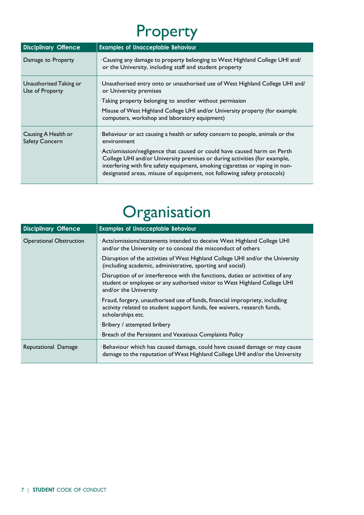## Property

| <b>Disciplinary Offence</b>                  | <b>Examples of Unacceptable Behaviour</b>                                                                                                                                                                                                                                                                                             |
|----------------------------------------------|---------------------------------------------------------------------------------------------------------------------------------------------------------------------------------------------------------------------------------------------------------------------------------------------------------------------------------------|
| Damage to Property                           | . Causing any damage to property belonging to West Highland College UHI and/<br>or the University, including staff and student property                                                                                                                                                                                               |
| Unauthorised Taking or<br>Use of Property    | · Unauthorised entry onto or unauthorised use of West Highland College UHI and/<br>or University premises<br>Taking property belonging to another without permission                                                                                                                                                                  |
|                                              | · Misuse of West Highland College UHI and/or University property (for example<br>computers, workshop and laboratory equipment)                                                                                                                                                                                                        |
| Causing A Health or<br><b>Safety Concern</b> | Behaviour or act causing a health or safety concern to people, animals or the<br>environment<br>· Act/omission/negligence that caused or could have caused harm on Perth<br>College UHI and/or University premises or during activities (for example,<br>interfering with fire safety equipment, smoking cigarettes or vaping in non- |
|                                              | designated areas, misuse of equipment, not following safety protocols)                                                                                                                                                                                                                                                                |

#### **Organisation**

| <b>Disciplinary Offence</b>    | <b>Examples of Unacceptable Behaviour</b>                                                                                                                                            |
|--------------------------------|--------------------------------------------------------------------------------------------------------------------------------------------------------------------------------------|
| <b>Operational Obstruction</b> | Acts/omissions/statements intended to deceive West Highland College UHI<br>and/or the University or to conceal the misconduct of others                                              |
|                                | Disruption of the activities of West Highland College UHI and/or the University<br>(including academic, administrative, sporting and social)                                         |
|                                | Disruption of or interference with the functions, duties or activities of any<br>student or employee or any authorised visitor to West Highland College UHI<br>and/or the University |
|                                | Fraud, forgery, unauthorised use of funds, financial impropriety, including<br>activity related to student support funds, fee waivers, research funds,<br>scholarships etc.          |
|                                | Bribery / attempted bribery                                                                                                                                                          |
|                                | Breach of the Persistent and Vexatious Complaints Policy                                                                                                                             |
| Reputational Damage            | ·Behaviour which has caused damage, could have caused damage or may cause<br>damage to the reputation of West Highland College UHI and/or the University                             |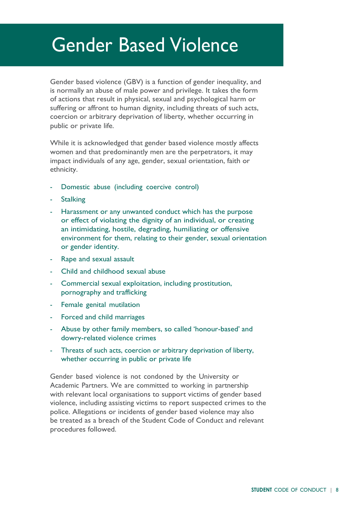#### Gender Based Violence

Gender based violence (GBV) is a function of gender inequality, and is normally an abuse of male power and privilege. It takes the form of actions that result in physical, sexual and psychological harm or suffering or affront to human dignity, including threats of such acts, coercion or arbitrary deprivation of liberty, whether occurring in public or private life.

While it is acknowledged that gender based violence mostly affects women and that predominantly men are the perpetrators, it may impact individuals of any age, gender, sexual orientation, faith or ethnicity.

- Domestic abuse (including coercive control)
- **Stalking**
- Harassment or any unwanted conduct which has the purpose or effect of violating the dignity of an individual, or creating an intimidating, hostile, degrading, humiliating or offensive environment for them, relating to their gender, sexual orientation or gender identity.
- Rape and sexual assault
- Child and childhood sexual abuse
- Commercial sexual exploitation, including prostitution, pornography and trafficking
- Female genital mutilation
- Forced and child marriages
- Abuse by other family members, so called 'honour-based' and dowry-related violence crimes
- Threats of such acts, coercion or arbitrary deprivation of liberty, whether occurring in public or private life

Gender based violence is not condoned by the University or Academic Partners. We are committed to working in partnership with relevant local organisations to support victims of gender based violence, including assisting victims to report suspected crimes to the police. Allegations or incidents of gender based violence may also be treated as a breach of the Student Code of Conduct and relevant procedures followed.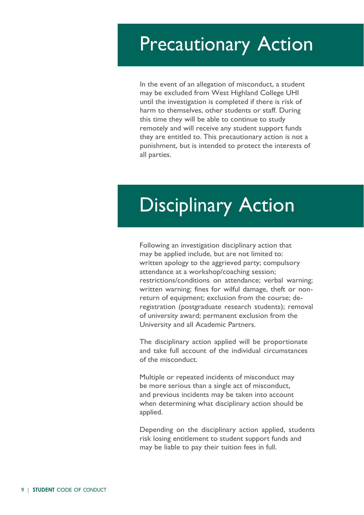#### Precautionary Action

In the event of an allegation of misconduct, a student may be excluded from West Highland College UHI until the investigation is completed if there is risk of harm to themselves, other students or staff. During this time they will be able to continue to study remotely and will receive any student support funds they are entitled to. This precautionary action is not a punishment, but is intended to protect the interests of all parties.

# Disciplinary Action

Following an investigation disciplinary action that may be applied include, but are not limited to: written apology to the aggrieved party; compulsory attendance at a workshop/coaching session; restrictions/conditions on attendance; verbal warning; written warning; fines for wilful damage, theft or nonreturn of equipment; exclusion from the course; deregistration (postgraduate research students); removal of university award; permanent exclusion from the University and all Academic Partners.

The disciplinary action applied will be proportionate and take full account of the individual circumstances of the misconduct.

Multiple or repeated incidents of misconduct may be more serious than a single act of misconduct, and previous incidents may be taken into account when determining what disciplinary action should be applied.

Depending on the disciplinary action applied, students risk losing entitlement to student support funds and may be liable to pay their tuition fees in full.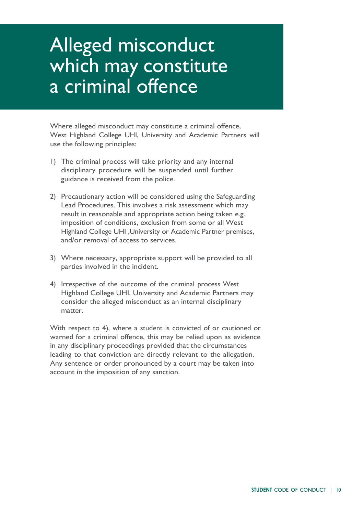## Alleged misconduct which may constitute a criminal offence

Where alleged misconduct may constitute a criminal offence, West Highland College UHI, University and Academic Partners will use the following principles:

- 1) The criminal process will take priority and any internal disciplinary procedure will be suspended until further guidance is received from the police.
- 2) Precautionary action will be considered using the Safeguarding Lead Procedures. This involves a risk assessment which may result in reasonable and appropriate action being taken e.g. imposition of conditions, exclusion from some or all West Highland College UHI ,University or Academic Partner premises, and/or removal of access to services.
- 3) Where necessary, appropriate support will be provided to all parties involved in the incident.
- 4) Irrespective of the outcome of the criminal process West Highland College UHI, University and Academic Partners may consider the alleged misconduct as an internal disciplinary matter.

With respect to 4), where a student is convicted of or cautioned or warned for a criminal offence, this may be relied upon as evidence in any disciplinary proceedings provided that the circumstances leading to that conviction are directly relevant to the allegation. Any sentence or order pronounced by a court may be taken into account in the imposition of any sanction.